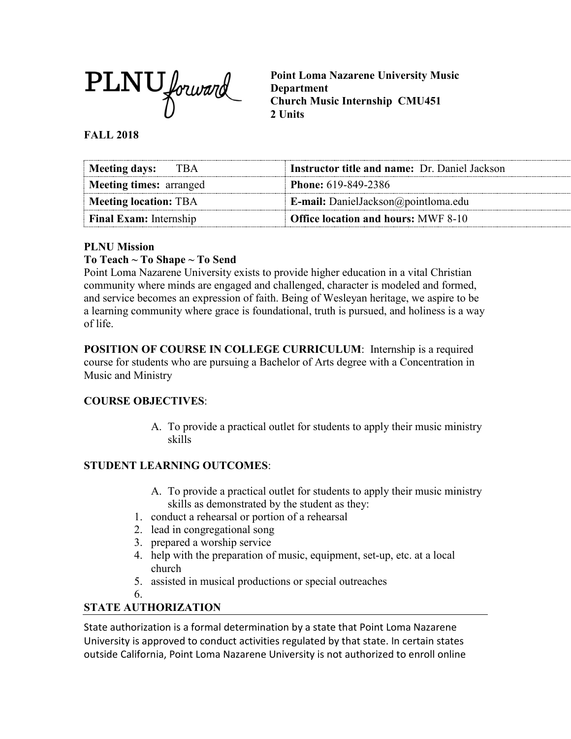

**Point Loma Nazarene University Music Department Church Music Internship CMU451 2 Units**

### **FALL 2018**

| Meeting days: TBA              | <b>Instructor title and name: Dr. Daniel Jackson</b> |
|--------------------------------|------------------------------------------------------|
| <b>Meeting times: arranged</b> | <b>Phone:</b> 619-849-2386                           |
| Meeting location: TBA          | <b>E-mail:</b> DanielJackson@pointloma.edu           |
| <b>Final Exam:</b> Internship  | <b>Office location and hours: MWF 8-10</b>           |

### **PLNU Mission**

#### **To Teach ~ To Shape ~ To Send**

Point Loma Nazarene University exists to provide higher education in a vital Christian community where minds are engaged and challenged, character is modeled and formed, and service becomes an expression of faith. Being of Wesleyan heritage, we aspire to be a learning community where grace is foundational, truth is pursued, and holiness is a way of life.

**POSITION OF COURSE IN COLLEGE CURRICULUM**: Internship is a required course for students who are pursuing a Bachelor of Arts degree with a Concentration in Music and Ministry

### **COURSE OBJECTIVES**:

A. To provide a practical outlet for students to apply their music ministry skills

### **STUDENT LEARNING OUTCOMES**:

- A. To provide a practical outlet for students to apply their music ministry skills as demonstrated by the student as they:
- 1. conduct a rehearsal or portion of a rehearsal
- 2. lead in congregational song
- 3. prepared a worship service
- 4. help with the preparation of music, equipment, set-up, etc. at a local church
- 5. assisted in musical productions or special outreaches
- 6.

## **STATE AUTHORIZATION**

State authorization is a formal determination by a state that Point Loma Nazarene University is approved to conduct activities regulated by that state. In certain states outside California, Point Loma Nazarene University is not authorized to enroll online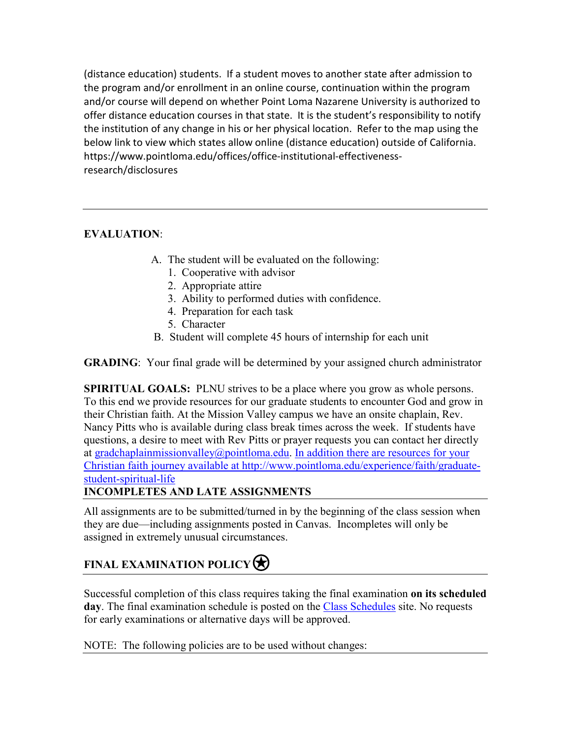(distance education) students. If a student moves to another state after admission to the program and/or enrollment in an online course, continuation within the program and/or course will depend on whether Point Loma Nazarene University is authorized to offer distance education courses in that state. It is the student's responsibility to notify the institution of any change in his or her physical location. Refer to the map using the below link to view which states allow online (distance education) outside of California. [https://www.pointloma.edu/offices/office-institutional-effectiveness](https://www.pointloma.edu/offices/office-institutional-effectiveness-research/disclosures)[research/disclosures](https://www.pointloma.edu/offices/office-institutional-effectiveness-research/disclosures)

## **EVALUATION**:

- A. The student will be evaluated on the following:
	- 1. Cooperative with advisor
	- 2. Appropriate attire
	- 3. Ability to performed duties with confidence.
	- 4. Preparation for each task
	- 5. Character
- B. Student will complete 45 hours of internship for each unit

**GRADING**: Your final grade will be determined by your assigned church administrator

**SPIRITUAL GOALS:** PLNU strives to be a place where you grow as whole persons. To this end we provide resources for our graduate students to encounter God and grow in their Christian faith. At the Mission Valley campus we have an onsite chaplain, Rev. Nancy Pitts who is available during class break times across the week. If students have questions, a desire to meet with Rev Pitts or prayer requests you can contact her directly at [gradchaplainmissionvalley@pointloma.edu.](mailto:gradchaplainmissionvalley@pointloma.edu) In addition there are resources for your Christian faith journey available at [http://www.pointloma.edu/experience/faith/graduate](mailto:gradchaplainmissionvalley@pointloma.edu.%20%20%0dIn%20addition%20there%20are%20resources%20for%20your%20Christian%20faith%20journey%20are%20available%20at%20http://www.pointloma.edu/SpiritualDevelopment/Graduate_Students.htm.%0b)[student-spiritual-life](mailto:gradchaplainmissionvalley@pointloma.edu.%20%20%0dIn%20addition%20there%20are%20resources%20for%20your%20Christian%20faith%20journey%20are%20available%20at%20http://www.pointloma.edu/SpiritualDevelopment/Graduate_Students.htm.%0b)

### **INCOMPLETES AND LATE ASSIGNMENTS**

All assignments are to be submitted/turned in by the beginning of the class session when they are due—including assignments posted in Canvas. Incompletes will only be assigned in extremely unusual circumstances.

# **FINAL EXAMINATION POLICY**

Successful completion of this class requires taking the final examination **on its scheduled**  day. The final examination schedule is posted on the [Class Schedules](http://www.pointloma.edu/experience/academics/class-schedules) site. No requests for early examinations or alternative days will be approved.

NOTE: The following policies are to be used without changes: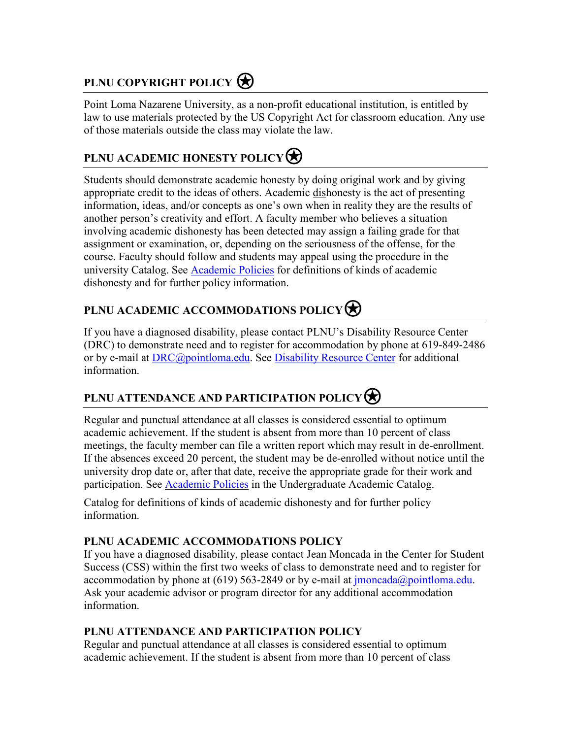# **PLNU COPYRIGHT POLICY**

Point Loma Nazarene University, as a non-profit educational institution, is entitled by law to use materials protected by the US Copyright Act for classroom education. Any use of those materials outside the class may violate the law.

# **PLNU ACADEMIC HONESTY POLICY**

Students should demonstrate academic honesty by doing original work and by giving appropriate credit to the ideas of others. Academic dishonesty is the act of presenting information, ideas, and/or concepts as one's own when in reality they are the results of another person's creativity and effort. A faculty member who believes a situation involving academic dishonesty has been detected may assign a failing grade for that assignment or examination, or, depending on the seriousness of the offense, for the course. Faculty should follow and students may appeal using the procedure in the university Catalog. See [Academic Policies](http://catalog.pointloma.edu/content.php?catoid=18&navoid=1278) for definitions of kinds of academic dishonesty and for further policy information.

# **PLNU ACADEMIC ACCOMMODATIONS POLICY**

If you have a diagnosed disability, please contact PLNU's Disability Resource Center (DRC) to demonstrate need and to register for accommodation by phone at 619-849-2486 or by e-mail at [DRC@pointloma.edu.](mailto:DRC@pointloma.edu) See [Disability Resource Center](http://www.pointloma.edu/experience/offices/administrative-offices/academic-advising-office/disability-resource-center) for additional information.

## **PLNU ATTENDANCE AND PARTICIPATION POLICY**⍟

Regular and punctual attendance at all classes is considered essential to optimum academic achievement. If the student is absent from more than 10 percent of class meetings, the faculty member can file a written report which may result in de-enrollment. If the absences exceed 20 percent, the student may be de-enrolled without notice until the university drop date or, after that date, receive the appropriate grade for their work and participation. See [Academic Policies](http://catalog.pointloma.edu/content.php?catoid=18&navoid=1278) in the Undergraduate Academic Catalog.

Catalog for definitions of kinds of academic dishonesty and for further policy information.

### **PLNU ACADEMIC ACCOMMODATIONS POLICY**

If you have a diagnosed disability, please contact Jean Moncada in the Center for Student Success (CSS) within the first two weeks of class to demonstrate need and to register for accommodation by phone at (619) 563-2849 or by e-mail at  $\frac{\text{imoncada}(a) \text{point} \cdot \text{dom.}}{\text{odd}}$ . Ask your academic advisor or program director for any additional accommodation information.

## **PLNU ATTENDANCE AND PARTICIPATION POLICY**

Regular and punctual attendance at all classes is considered essential to optimum academic achievement. If the student is absent from more than 10 percent of class